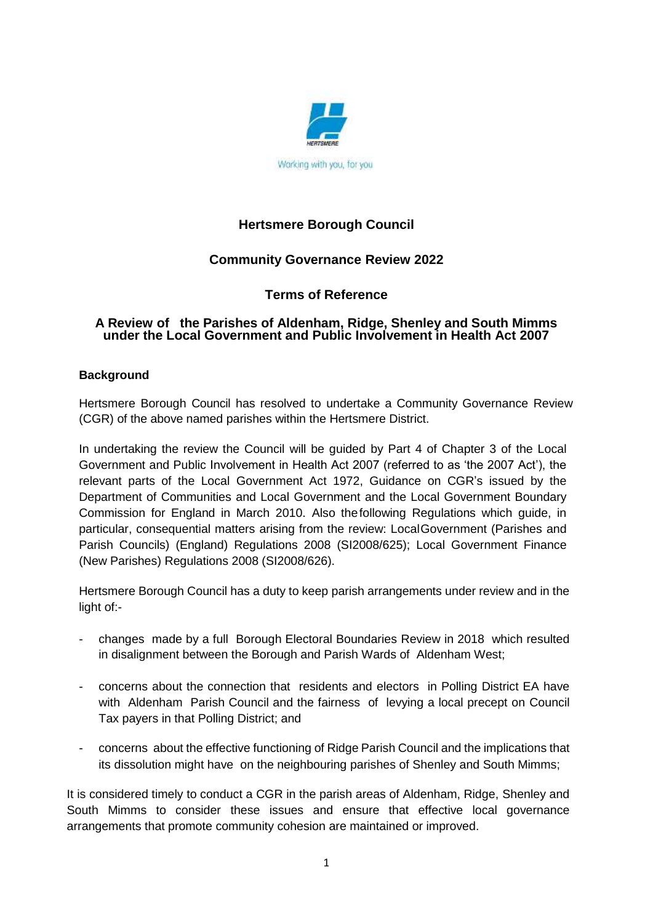

# **Hertsmere Borough Council**

# **Community Governance Review 2022**

## **Terms of Reference**

## **A Review of the Parishes of Aldenham, Ridge, Shenley and South Mimms under the Local Government and Public Involvement in Health Act 2007**

## **Background**

Hertsmere Borough Council has resolved to undertake a Community Governance Review (CGR) of the above named parishes within the Hertsmere District.

In undertaking the review the Council will be guided by Part 4 of Chapter 3 of the Local Government and Public Involvement in Health Act 2007 (referred to as 'the 2007 Act'), the relevant parts of the Local Government Act 1972, Guidance on CGR's issued by the Department of Communities and Local Government and the Local Government Boundary Commission for England in March 2010. Also thefollowing Regulations which guide, in particular, consequential matters arising from the review: LocalGovernment (Parishes and Parish Councils) (England) Regulations 2008 (SI2008/625); Local Government Finance (New Parishes) Regulations 2008 (SI2008/626).

Hertsmere Borough Council has a duty to keep parish arrangements under review and in the light of:-

- changes made by a full Borough Electoral Boundaries Review in 2018 which resulted in disalignment between the Borough and Parish Wards of Aldenham West;
- concerns about the connection that residents and electors in Polling District EA have with Aldenham Parish Council and the fairness of levying a local precept on Council Tax payers in that Polling District; and
- concerns about the effective functioning of Ridge Parish Council and the implications that its dissolution might have on the neighbouring parishes of Shenley and South Mimms;

It is considered timely to conduct a CGR in the parish areas of Aldenham, Ridge, Shenley and South Mimms to consider these issues and ensure that effective local governance arrangements that promote community cohesion are maintained or improved.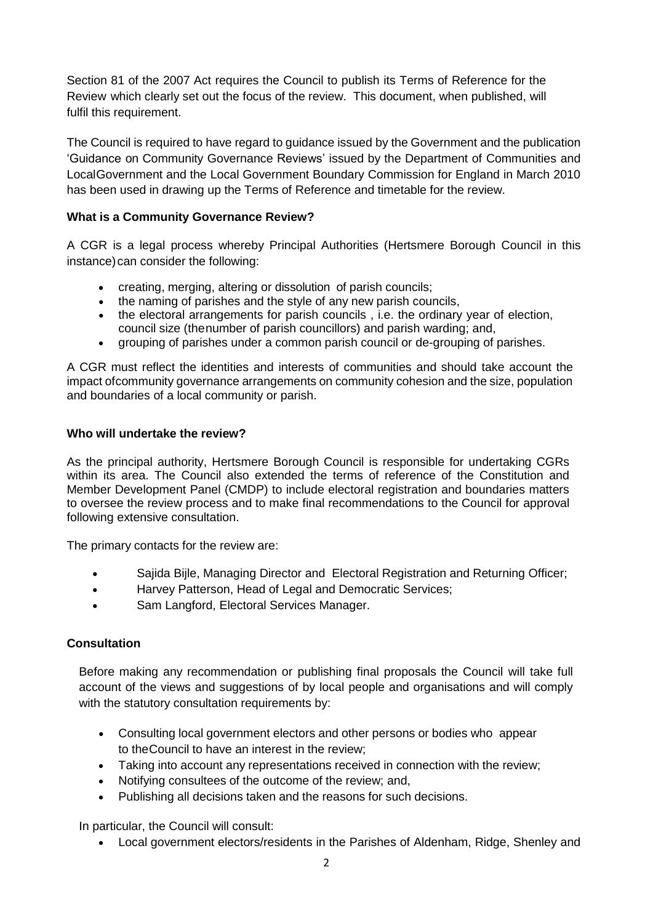Section 81 of the 2007 Act requires the Council to publish its Terms of Reference for the Review which clearly set out the focus of the review. This document, when published, will fulfil this requirement.

The Council is required to have regard to guidance issued by the Government and the publication 'Guidance on Community Governance Reviews' issued by the Department of Communities and LocalGovernment and the Local Government Boundary Commission for England in March 2010 has been used in drawing up the Terms of Reference and timetable for the review.

## **What is a Community Governance Review?**

A CGR is a legal process whereby Principal Authorities (Hertsmere Borough Council in this instance) can consider the following:

- creating, merging, altering or dissolution of parish councils;
- the naming of parishes and the style of any new parish councils,
- the electoral arrangements for parish councils , i.e. the ordinary year of election, council size (thenumber of parish councillors) and parish warding; and,
- grouping of parishes under a common parish council or de-grouping of parishes.

A CGR must reflect the identities and interests of communities and should take account the impact ofcommunity governance arrangements on community cohesion and the size, population and boundaries of a local community or parish.

## **Who will undertake the review?**

As the principal authority, Hertsmere Borough Council is responsible for undertaking CGRs within its area. The Council also extended the terms of reference of the Constitution and Member Development Panel (CMDP) to include electoral registration and boundaries matters to oversee the review process and to make final recommendations to the Council for approval following extensive consultation.

The primary contacts for the review are:

- Sajida Bijle, Managing Director and Electoral Registration and Returning Officer;
- Harvey Patterson, Head of Legal and Democratic Services;
- Sam Langford, Electoral Services Manager.

## **Consultation**

Before making any recommendation or publishing final proposals the Council will take full account of the views and suggestions of by local people and organisations and will comply with the statutory consultation requirements by:

- Consulting local government electors and other persons or bodies who appear to theCouncil to have an interest in the review;
- Taking into account any representations received in connection with the review;
- Notifying consultees of the outcome of the review; and,
- Publishing all decisions taken and the reasons for such decisions.

In particular, the Council will consult:

Local government electors/residents in the Parishes of Aldenham, Ridge, Shenley and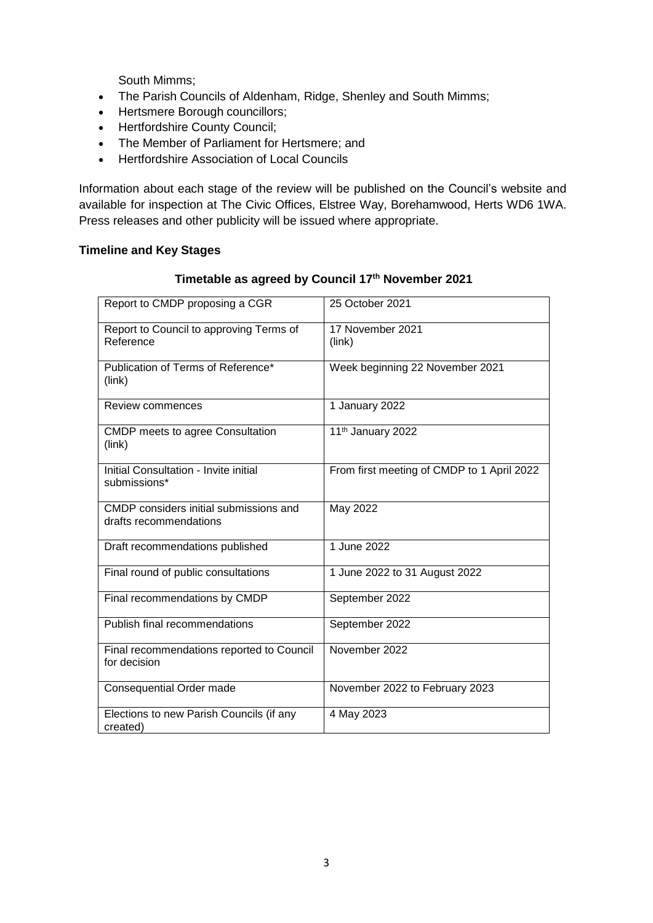South Mimms;

- The Parish Councils of Aldenham, Ridge, Shenley and South Mimms;
- Hertsmere Borough councillors;
- Hertfordshire County Council;
- The Member of Parliament for Hertsmere: and
- **•** Hertfordshire Association of Local Councils

Information about each stage of the review will be published on the Council's website and available for inspection at The Civic Offices, Elstree Way, Borehamwood, Herts WD6 1WA. Press releases and other publicity will be issued where appropriate.

## **Timeline and Key Stages**

| Report to CMDP proposing a CGR                                   | 25 October 2021                            |
|------------------------------------------------------------------|--------------------------------------------|
| Report to Council to approving Terms of<br>Reference             | 17 November 2021<br>(link)                 |
| Publication of Terms of Reference*<br>(link)                     | Week beginning 22 November 2021            |
| Review commences                                                 | 1 January 2022                             |
| <b>CMDP</b> meets to agree Consultation<br>(link)                | 11 <sup>th</sup> January 2022              |
| Initial Consultation - Invite initial<br>submissions*            | From first meeting of CMDP to 1 April 2022 |
| CMDP considers initial submissions and<br>drafts recommendations | May 2022                                   |
| Draft recommendations published                                  | 1 June 2022                                |
| Final round of public consultations                              | 1 June 2022 to 31 August 2022              |
| Final recommendations by CMDP                                    | September 2022                             |
| Publish final recommendations                                    | September 2022                             |
| Final recommendations reported to Council<br>for decision        | November 2022                              |
| Consequential Order made                                         | November 2022 to February 2023             |
| Elections to new Parish Councils (if any<br>created)             | 4 May 2023                                 |

### **Timetable as agreed by Council 17th November 2021**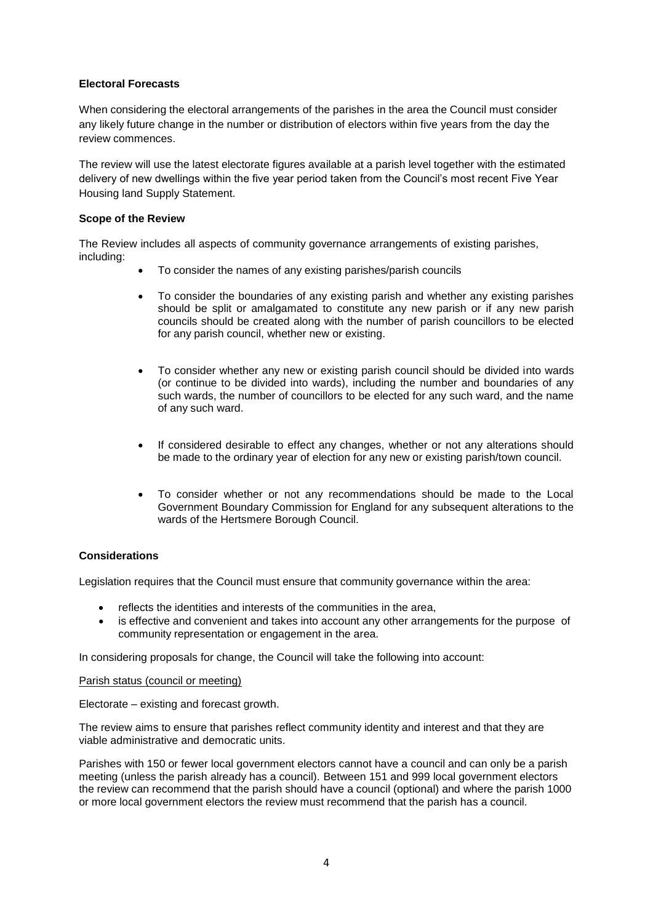### **Electoral Forecasts**

When considering the electoral arrangements of the parishes in the area the Council must consider any likely future change in the number or distribution of electors within five years from the day the review commences.

The review will use the latest electorate figures available at a parish level together with the estimated delivery of new dwellings within the five year period taken from the Council's most recent Five Year Housing land Supply Statement.

### **Scope of the Review**

The Review includes all aspects of community governance arrangements of existing parishes, including:

- To consider the names of any existing parishes/parish councils
- To consider the boundaries of any existing parish and whether any existing parishes should be split or amalgamated to constitute any new parish or if any new parish councils should be created along with the number of parish councillors to be elected for any parish council, whether new or existing.
- To consider whether any new or existing parish council should be divided into wards (or continue to be divided into wards), including the number and boundaries of any such wards, the number of councillors to be elected for any such ward, and the name of any such ward.
- If considered desirable to effect any changes, whether or not any alterations should be made to the ordinary year of election for any new or existing parish/town council.
- To consider whether or not any recommendations should be made to the Local Government Boundary Commission for England for any subsequent alterations to the wards of the Hertsmere Borough Council.

### **Considerations**

Legislation requires that the Council must ensure that community governance within the area:

- reflects the identities and interests of the communities in the area,
- is effective and convenient and takes into account any other arrangements for the purpose of community representation or engagement in the area.

In considering proposals for change, the Council will take the following into account:

Parish status (council or meeting)

Electorate – existing and forecast growth.

The review aims to ensure that parishes reflect community identity and interest and that they are viable administrative and democratic units.

Parishes with 150 or fewer local government electors cannot have a council and can only be a parish meeting (unless the parish already has a council). Between 151 and 999 local government electors the review can recommend that the parish should have a council (optional) and where the parish 1000 or more local government electors the review must recommend that the parish has a council.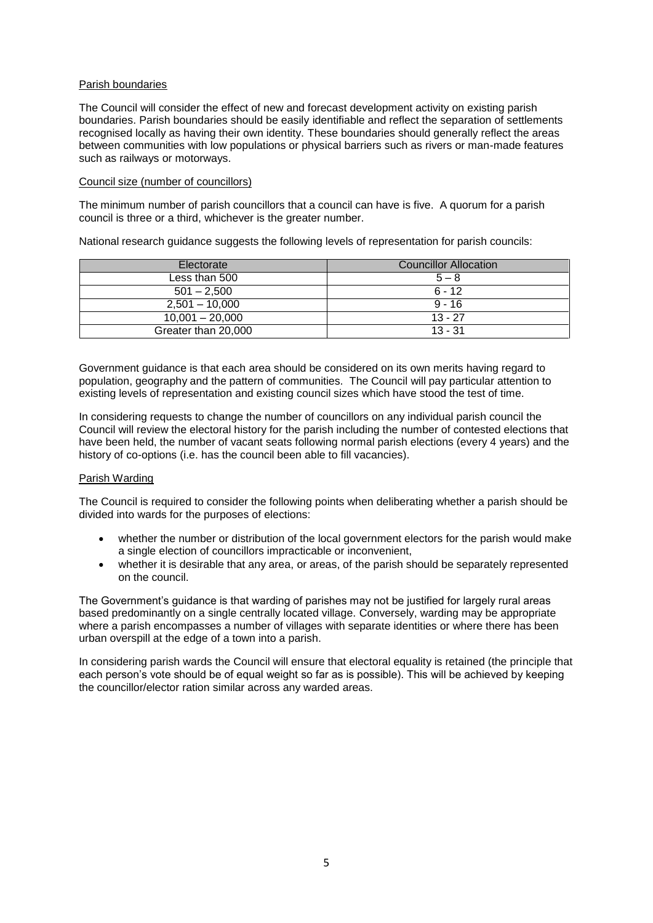### Parish boundaries

The Council will consider the effect of new and forecast development activity on existing parish boundaries. Parish boundaries should be easily identifiable and reflect the separation of settlements recognised locally as having their own identity. These boundaries should generally reflect the areas between communities with low populations or physical barriers such as rivers or man-made features such as railways or motorways.

#### Council size (number of councillors)

The minimum number of parish councillors that a council can have is five. A quorum for a parish council is three or a third, whichever is the greater number.

National research guidance suggests the following levels of representation for parish councils:

| Electorate          | <b>Councillor Allocation</b> |
|---------------------|------------------------------|
| Less than 500       | $5 - 8$                      |
| $501 - 2.500$       | $6 - 12$                     |
| $2,501 - 10,000$    | $9 - 16$                     |
| $10,001 - 20,000$   | $13 - 27$                    |
| Greater than 20,000 | $13 - 31$                    |

Government guidance is that each area should be considered on its own merits having regard to population, geography and the pattern of communities. The Council will pay particular attention to existing levels of representation and existing council sizes which have stood the test of time.

In considering requests to change the number of councillors on any individual parish council the Council will review the electoral history for the parish including the number of contested elections that have been held, the number of vacant seats following normal parish elections (every 4 years) and the history of co-options (i.e. has the council been able to fill vacancies).

### Parish Warding

The Council is required to consider the following points when deliberating whether a parish should be divided into wards for the purposes of elections:

- whether the number or distribution of the local government electors for the parish would make a single election of councillors impracticable or inconvenient,
- whether it is desirable that any area, or areas, of the parish should be separately represented on the council.

The Government's guidance is that warding of parishes may not be justified for largely rural areas based predominantly on a single centrally located village. Conversely, warding may be appropriate where a parish encompasses a number of villages with separate identities or where there has been urban overspill at the edge of a town into a parish.

In considering parish wards the Council will ensure that electoral equality is retained (the principle that each person's vote should be of equal weight so far as is possible). This will be achieved by keeping the councillor/elector ration similar across any warded areas.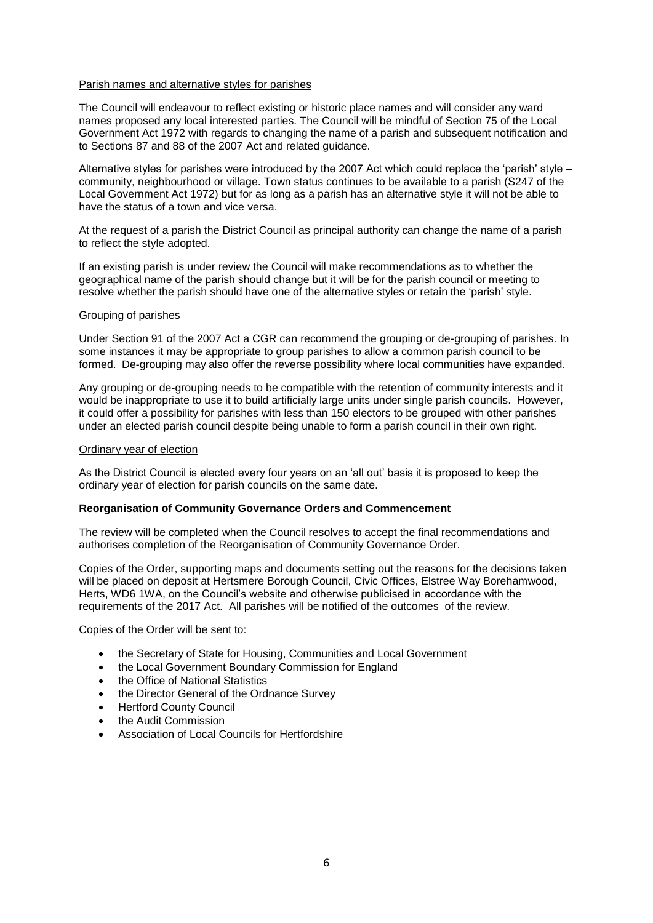#### Parish names and alternative styles for parishes

The Council will endeavour to reflect existing or historic place names and will consider any ward names proposed any local interested parties. The Council will be mindful of Section 75 of the Local Government Act 1972 with regards to changing the name of a parish and subsequent notification and to Sections 87 and 88 of the 2007 Act and related guidance.

Alternative styles for parishes were introduced by the 2007 Act which could replace the 'parish' style – community, neighbourhood or village. Town status continues to be available to a parish (S247 of the Local Government Act 1972) but for as long as a parish has an alternative style it will not be able to have the status of a town and vice versa.

At the request of a parish the District Council as principal authority can change the name of a parish to reflect the style adopted.

If an existing parish is under review the Council will make recommendations as to whether the geographical name of the parish should change but it will be for the parish council or meeting to resolve whether the parish should have one of the alternative styles or retain the 'parish' style.

#### Grouping of parishes

Under Section 91 of the 2007 Act a CGR can recommend the grouping or de-grouping of parishes. In some instances it may be appropriate to group parishes to allow a common parish council to be formed. De-grouping may also offer the reverse possibility where local communities have expanded.

Any grouping or de-grouping needs to be compatible with the retention of community interests and it would be inappropriate to use it to build artificially large units under single parish councils. However, it could offer a possibility for parishes with less than 150 electors to be grouped with other parishes under an elected parish council despite being unable to form a parish council in their own right.

#### Ordinary year of election

As the District Council is elected every four years on an 'all out' basis it is proposed to keep the ordinary year of election for parish councils on the same date.

#### **Reorganisation of Community Governance Orders and Commencement**

The review will be completed when the Council resolves to accept the final recommendations and authorises completion of the Reorganisation of Community Governance Order.

Copies of the Order, supporting maps and documents setting out the reasons for the decisions taken will be placed on deposit at Hertsmere Borough Council, Civic Offices, Elstree Way Borehamwood, Herts, WD6 1WA, on the Council's website and otherwise publicised in accordance with the requirements of the 2017 Act. All parishes will be notified of the outcomes of the review.

Copies of the Order will be sent to:

- the Secretary of State for Housing, Communities and Local Government
- the Local Government Boundary Commission for England
- the Office of National Statistics
- the Director General of the Ordnance Survey
- **•** Hertford County Council
- the Audit Commission
- Association of Local Councils for Hertfordshire